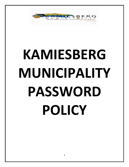

# **KAMIESBERG MUNICIPALITY PASSWORD POLICY**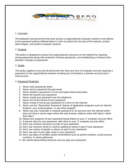

## 1. Overview

All employees and personnel that have access to organizational computer systems must adhere to the password policies defined below in order to protect the security of the network, protect data integrity, and protect computer systems.

## 2. Purpose

This policy is designed to protect the organizational resources on the network by requiring strong passwords along with protection of these passwords, and establishing a minimum time between changes to passwords.

## 3. Scope

This policy applies to any and all personnel who have any form of computer account requiring a password on the organizational network including but not limited to a domain account and email account.

### 4. Password Protection

- 1. Never write passwords down.
- 2. Never send a password through email.
- 3. Never include a password in a non-encrypted stored document.
- 4. Never tell anyone your password.
- 5. Never reveal your password over the telephone.
- 6. Never hint at the format of your password.
- 7. Never reveal or hint at your password on a form on the internet.
- 8. Never use the "Remember Password" feature of application programs such as Internet Explorer, your email program, or any other program.
- 9. Never use your corporate or network password on an account over the internet which does not have a secure login where the web browser address starts with https:// rather than http://
- 10. Report any suspicion of your password being broken to your IT computer security office.
- 11. If anyone asks for your password, refer them to your IT computer security office.
- 12. Don't use common acronyms as part of your password.
- 13. Don't use common words or reverse spelling of words in part of your password.
- 14. Don't use names of people or places as part of your password.
- 15. Don't use part of your login name in your password.
- 16. Don't use parts of numbers easily remembered such as phone numbers, social security numbers, or street addresses.
- 17. Be careful about letting someone see you type your password.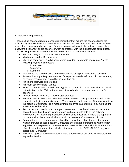

# 5. Password Requirements

Those setting password requirements must remember that making the password rules too difficult may actually decrease security if users decide the rules are impossible or too difficult to meet. If passwords are changed too often, users may tend to write them down or make their password a variant of an old password which an attacker with the old password could guess. The following password requirements will be set by the IT security department:

- Minimum Length 6 characters recommended
- Maximum Length 12 characters
- Minimum complexity No dictionary words included. Passwords should use 2 of the following 3 types of characters:
	- o Lowercase
	- o Uppercase
	- o Numbers
- Passwords are case sensitive and the user name or login ID is not case sensitive.
- Password history Require a number of unique passwords before an old password may be reused. This number should be no less than 24.
- Maximum password age -30 days
- Minimum password age 2 days
- Store passwords using reversible encryption This should not be done without special authorization by the IT department since it would reduce the security of the user's password.
- Account lockout threshold 4 failed login attempts
- Reset account lockout after The time it takes between bad login attempts before the count of bad login attempts is cleared. The recommended value as of the date of writing this article is 20 minutes. This means if there are three bad attempts in 20 minutes, the account would be locked.
- Account lockout duration Some experts recommend that the administrator reset the account lockout so they are aware of possible break in attempts on the network. However this will cause a great deal of additional help desk calls. Therefore depending on the situation, the account lockout should be between 30 minutes and 2 hours.
- Password protected screen savers should be enabled and should protect the computer within 5 minutes of user inactivity. Computers should not be unattended with the user logged on and no password protected screen saver active. Users should be in the habit of not leaving their computers unlocked. they can press the CTRL-ALT-DEL keys and select "Lock Computer".
- Rules that apply to passwords apply to pass phrases which are used for public/private key authentication